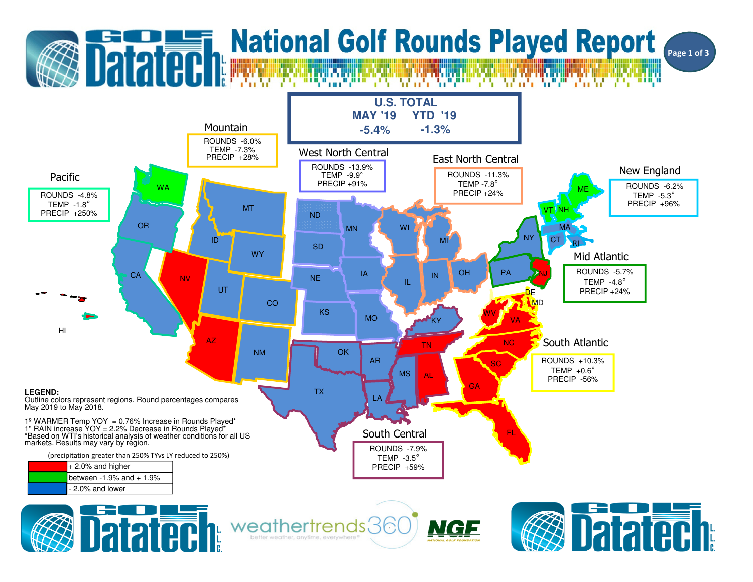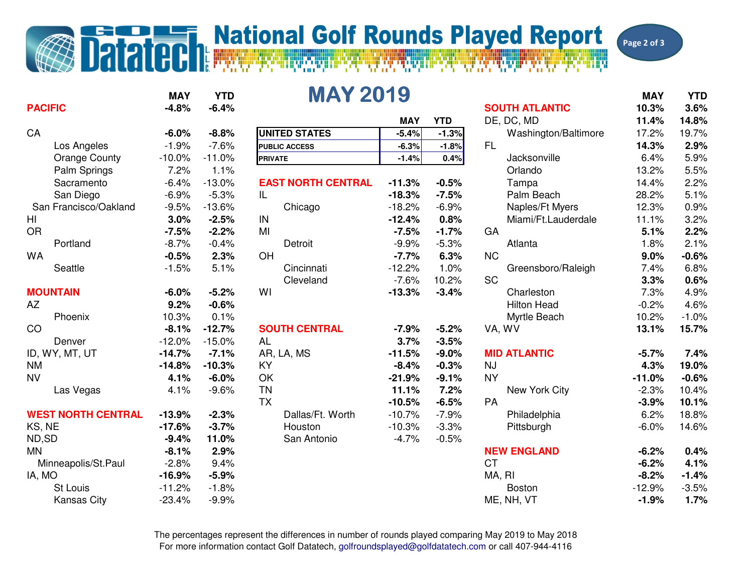## **Datated National Golf Rounds Played Report**

Page 2 of 3

| <b>PACIFIC</b>            | <b>MAY</b><br>$-4.8%$ | <b>YTD</b><br>$-6.4%$ | <b>MAY 2019</b>           |            |            | <b>SOUTH ATLANTIC</b> | <b>MAY</b><br>10.3% | <b>YTD</b><br>3.6% |
|---------------------------|-----------------------|-----------------------|---------------------------|------------|------------|-----------------------|---------------------|--------------------|
|                           |                       |                       |                           | <b>MAY</b> | <b>YTD</b> | DE, DC, MD            | 11.4%               | 14.8%              |
| CA                        | $-6.0%$               | $-8.8%$               | <b>UNITED STATES</b>      | $-5.4%$    | $-1.3%$    | Washington/Baltimore  | 17.2%               | 19.7%              |
| Los Angeles               | $-1.9%$               | $-7.6%$               | <b>PUBLIC ACCESS</b>      | $-6.3%$    | $-1.8%$    | <b>FL</b>             | 14.3%               | 2.9%               |
| <b>Orange County</b>      | $-10.0%$              | $-11.0%$              | <b>PRIVATE</b>            | $-1.4%$    | 0.4%       | Jacksonville          | 6.4%                | 5.9%               |
| Palm Springs              | 7.2%                  | 1.1%                  |                           |            |            | Orlando               | 13.2%               | 5.5%               |
| Sacramento                | $-6.4%$               | $-13.0%$              | <b>EAST NORTH CENTRAL</b> | $-11.3%$   | $-0.5%$    | Tampa                 | 14.4%               | 2.2%               |
| San Diego                 | $-6.9%$               | $-5.3%$               | IL                        | $-18.3%$   | $-7.5%$    | Palm Beach            | 28.2%               | 5.1%               |
| San Francisco/Oakland     | $-9.5%$               | $-13.6%$              | Chicago                   | $-18.2%$   | $-6.9%$    | Naples/Ft Myers       | 12.3%               | 0.9%               |
| HI                        | 3.0%                  | $-2.5%$               | IN                        | $-12.4%$   | 0.8%       | Miami/Ft.Lauderdale   | 11.1%               | 3.2%               |
| <b>OR</b>                 | $-7.5%$               | $-2.2%$               | MI                        | $-7.5%$    | $-1.7%$    | GA                    | 5.1%                | 2.2%               |
| Portland                  | $-8.7%$               | $-0.4%$               | Detroit                   | $-9.9%$    | $-5.3%$    | Atlanta               | 1.8%                | 2.1%               |
| <b>WA</b>                 | $-0.5%$               | 2.3%                  | OH                        | $-7.7%$    | 6.3%       | NC                    | 9.0%                | $-0.6%$            |
| Seattle                   | $-1.5%$               | 5.1%                  | Cincinnati                | $-12.2%$   | 1.0%       | Greensboro/Raleigh    | 7.4%                | 6.8%               |
|                           |                       |                       | Cleveland                 | $-7.6%$    | 10.2%      | <b>SC</b>             | 3.3%                | 0.6%               |
| <b>MOUNTAIN</b>           | $-6.0%$               | $-5.2%$               | WI                        | $-13.3%$   | $-3.4%$    | Charleston            | 7.3%                | 4.9%               |
| AZ                        | 9.2%                  | $-0.6%$               |                           |            |            | <b>Hilton Head</b>    | $-0.2%$             | 4.6%               |
| Phoenix                   | 10.3%                 | 0.1%                  |                           |            |            | Myrtle Beach          | 10.2%               | $-1.0%$            |
| CO                        | $-8.1%$               | $-12.7%$              | <b>SOUTH CENTRAL</b>      | $-7.9%$    | $-5.2%$    | VA, WV                | 13.1%               | 15.7%              |
| Denver                    | $-12.0%$              | $-15.0%$              | <b>AL</b>                 | 3.7%       | $-3.5%$    |                       |                     |                    |
| ID, WY, MT, UT            | $-14.7%$              | $-7.1%$               | AR, LA, MS                | $-11.5%$   | $-9.0%$    | <b>MID ATLANTIC</b>   | $-5.7%$             | 7.4%               |
| <b>NM</b>                 | $-14.8%$              | $-10.3%$              | KY                        | $-8.4%$    | $-0.3%$    | <b>NJ</b>             | 4.3%                | 19.0%              |
| <b>NV</b>                 | 4.1%                  | $-6.0%$               | OK                        | $-21.9%$   | $-9.1%$    | <b>NY</b>             | $-11.0%$            | $-0.6%$            |
| Las Vegas                 | 4.1%                  | $-9.6%$               | <b>TN</b>                 | 11.1%      | 7.2%       | New York City         | $-2.3%$             | 10.4%              |
|                           |                       |                       | <b>TX</b>                 | $-10.5%$   | $-6.5%$    | <b>PA</b>             | $-3.9%$             | 10.1%              |
| <b>WEST NORTH CENTRAL</b> | $-13.9%$              | $-2.3%$               | Dallas/Ft. Worth          | $-10.7%$   | $-7.9%$    | Philadelphia          | 6.2%                | 18.8%              |
| KS, NE                    | $-17.6%$              | $-3.7%$               | Houston                   | $-10.3%$   | $-3.3%$    | Pittsburgh            | $-6.0%$             | 14.6%              |
| ND,SD                     | $-9.4%$               | 11.0%                 | San Antonio               | $-4.7%$    | $-0.5%$    |                       |                     |                    |
| <b>MN</b>                 | $-8.1%$               | 2.9%                  |                           |            |            | <b>NEW ENGLAND</b>    | $-6.2%$             | 0.4%               |
| Minneapolis/St.Paul       | $-2.8%$               | 9.4%                  |                           |            |            | <b>CT</b>             | $-6.2%$             | 4.1%               |
| IA, MO                    | $-16.9%$              | $-5.9%$               |                           |            |            | MA, RI                | $-8.2%$             | $-1.4%$            |
| St Louis                  | $-11.2%$              | $-1.8%$               |                           |            |            | <b>Boston</b>         | $-12.9%$            | $-3.5%$            |
| <b>Kansas City</b>        | $-23.4%$              | $-9.9%$               |                           |            |            | ME, NH, VT            | $-1.9%$             | 1.7%               |

|   |          |                           | <b>MAY</b> | <b>YTD</b> | DE        |
|---|----------|---------------------------|------------|------------|-----------|
| ℅ | $-8.8%$  | <b>UNITED STATES</b>      | $-5.4%$    | $-1.3%$    |           |
| ℅ | $-7.6%$  | <b>PUBLIC ACCESS</b>      | $-6.3%$    | $-1.8%$    | FL        |
| ℅ | $-11.0%$ | <b>PRIVATE</b>            | $-1.4%$    | 0.4%       |           |
| ℅ | 1.1%     |                           |            |            |           |
| ℅ | $-13.0%$ | <b>EAST NORTH CENTRAL</b> | $-11.3%$   | $-0.5%$    |           |
| ℅ | $-5.3%$  | IL                        | $-18.3%$   | $-7.5%$    |           |
| ℅ | $-13.6%$ | Chicago                   | $-18.2%$   | $-6.9%$    |           |
| ℅ | $-2.5%$  | IN                        | $-12.4%$   | 0.8%       |           |
| ℅ | $-2.2%$  | MI                        | $-7.5%$    | $-1.7%$    | GΑ        |
| ℅ | $-0.4%$  | Detroit                   | $-9.9%$    | $-5.3%$    |           |
| ℅ | 2.3%     | OH                        | $-7.7%$    | 6.3%       | ΝC        |
| ℅ | 5.1%     | Cincinnati                | $-12.2%$   | 1.0%       |           |
|   |          | Cleveland                 | $-7.6%$    | 10.2%      | SC        |
| ℅ | $-5.2%$  | WI                        | $-13.3%$   | $-3.4%$    |           |
| ℅ | $-0.6%$  |                           |            |            |           |
| ℅ | 0.1%     |                           |            |            |           |
| ℅ | $-12.7%$ | <b>SOUTH CENTRAL</b>      | $-7.9\%$   | $-5.2%$    | VA        |
| ℅ | $-15.0%$ | <b>AL</b>                 | 3.7%       | $-3.5%$    |           |
| ℅ | $-7.1%$  | AR, LA, MS                | $-11.5%$   | $-9.0%$    | MII       |
| ℅ | $-10.3%$ | KY                        | $-8.4%$    | $-0.3%$    | NJ        |
| ℅ | $-6.0%$  | OK                        | $-21.9%$   | $-9.1%$    | <b>NY</b> |
| ℅ | $-9.6%$  | <b>TN</b>                 | 11.1%      | 7.2%       |           |
|   |          | <b>TX</b>                 | $-10.5%$   | $-6.5%$    | PA        |
| ℅ | $-2.3%$  | Dallas/Ft. Worth          | $-10.7%$   | $-7.9%$    |           |
| ℅ | $-3.7%$  | Houston                   | $-10.3%$   | $-3.3%$    |           |
| ℅ | 11.0%    | San Antonio               | $-4.7%$    | $-0.5%$    |           |
| ℅ | 2.9%     |                           |            |            | <b>NE</b> |
| ℅ | 9.4%     |                           |            |            | <b>CT</b> |
| ℅ | $-5.9%$  |                           |            |            | MA        |
| ℅ | $-1.8%$  |                           |            |            |           |

| ١Y | <b>YTD</b> | <b>MAY 2019</b>           |            |            |                       | <b>MAY</b> | <b>YTD</b> |
|----|------------|---------------------------|------------|------------|-----------------------|------------|------------|
| ℅  | $-6.4%$    |                           |            |            | <b>SOUTH ATLANTIC</b> | 10.3%      | 3.6%       |
|    |            |                           | <b>MAY</b> | <b>YTD</b> | DE, DC, MD            | 11.4%      | 14.8%      |
| ℅  | $-8.8%$    | <b>UNITED STATES</b>      | $-5.4%$    | $-1.3%$    | Washington/Baltimore  | 17.2%      | 19.7%      |
| ℅  | $-7.6%$    | <b>PUBLIC ACCESS</b>      | $-6.3%$    | $-1.8%$    | FL.                   | 14.3%      | 2.9%       |
| ℅  | $-11.0%$   | <b>PRIVATE</b>            | $-1.4%$    | 0.4%       | Jacksonville          | 6.4%       | 5.9%       |
| ℅  | 1.1%       |                           |            |            | Orlando               | 13.2%      | 5.5%       |
| ℅  | $-13.0%$   | <b>EAST NORTH CENTRAL</b> | $-11.3%$   | $-0.5%$    | Tampa                 | 14.4%      | 2.2%       |
| ℅  | $-5.3%$    | IL                        | $-18.3%$   | $-7.5%$    | Palm Beach            | 28.2%      | 5.1%       |
| ℅  | $-13.6%$   | Chicago                   | $-18.2%$   | $-6.9%$    | Naples/Ft Myers       | 12.3%      | 0.9%       |
| ℅  | $-2.5%$    | IN                        | $-12.4%$   | 0.8%       | Miami/Ft.Lauderdale   | 11.1%      | 3.2%       |
| ℅  | $-2.2%$    | MI                        | $-7.5%$    | $-1.7%$    | GA                    | 5.1%       | 2.2%       |
| ℅  | $-0.4%$    | Detroit                   | $-9.9%$    | $-5.3%$    | Atlanta               | 1.8%       | 2.1%       |
| ℅  | 2.3%       | OH                        | $-7.7%$    | 6.3%       | <b>NC</b>             | 9.0%       | $-0.6%$    |
| ℅  | 5.1%       | Cincinnati                | $-12.2%$   | 1.0%       | Greensboro/Raleigh    | 7.4%       | 6.8%       |
|    |            | Cleveland                 | $-7.6%$    | 10.2%      | SC                    | 3.3%       | 0.6%       |
| ℅  | $-5.2%$    | WI                        | $-13.3%$   | $-3.4%$    | Charleston            | 7.3%       | 4.9%       |
| ℅  | $-0.6%$    |                           |            |            | <b>Hilton Head</b>    | $-0.2%$    | 4.6%       |
| ℅  | 0.1%       |                           |            |            | Myrtle Beach          | 10.2%      | $-1.0%$    |
| ℅  | $-12.7%$   | <b>SOUTH CENTRAL</b>      | $-7.9%$    | $-5.2%$    | VA, WV                | 13.1%      | 15.7%      |
| ℅  | $-15.0%$   | <b>AL</b>                 | 3.7%       | $-3.5%$    |                       |            |            |
| ℅  | $-7.1%$    | AR, LA, MS                | $-11.5%$   | $-9.0%$    | <b>MID ATLANTIC</b>   | $-5.7%$    | 7.4%       |
| ℅  | $-10.3%$   | KY                        | $-8.4%$    | $-0.3%$    | <b>NJ</b>             | 4.3%       | 19.0%      |
| ℅  | $-6.0%$    | OK                        | $-21.9%$   | $-9.1%$    | <b>NY</b>             | $-11.0%$   | $-0.6%$    |
| ℅  | $-9.6%$    | <b>TN</b>                 | 11.1%      | 7.2%       | New York City         | $-2.3%$    | 10.4%      |
|    |            | <b>TX</b>                 | $-10.5%$   | $-6.5%$    | PA                    | $-3.9%$    | 10.1%      |
| ℅  | $-2.3%$    | Dallas/Ft. Worth          | $-10.7%$   | $-7.9%$    | Philadelphia          | 6.2%       | 18.8%      |
| ℅  | $-3.7%$    | Houston                   | $-10.3%$   | $-3.3%$    | Pittsburgh            | $-6.0%$    | 14.6%      |
| ℅  | 11.0%      | San Antonio               | $-4.7%$    | $-0.5%$    |                       |            |            |
| ℅  | 2.9%       |                           |            |            | <b>NEW ENGLAND</b>    | $-6.2%$    | 0.4%       |
| ℅  | 9.4%       |                           |            |            | <b>CT</b>             | $-6.2%$    | 4.1%       |
| ℅  | $-5.9%$    |                           |            |            | MA, RI                | $-8.2%$    | $-1.4%$    |
| ℅  | $-1.8%$    |                           |            |            | <b>Boston</b>         | $-12.9%$   | $-3.5%$    |
| ℅  | $-9.9%$    |                           |            |            | ME, NH, VT            | $-1.9%$    | 1.7%       |
|    |            |                           |            |            |                       |            |            |

For more information contact Golf Datatech, golfroundsplayed@golfdatatech.com or call 407-944-4116 The percentages represent the differences in number of rounds played comparing May 2019 to May 2018